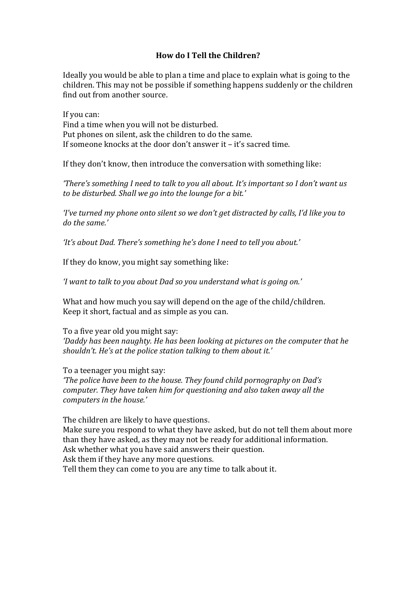## **How do I Tell the Children?**

Ideally you would be able to plan a time and place to explain what is going to the children. This may not be possible if something happens suddenly or the children find out from another source.

If you can: Find a time when you will not be disturbed. Put phones on silent, ask the children to do the same. If someone knocks at the door don't answer it – it's sacred time.

If they don't know, then introduce the conversation with something like:

*'There's something I need to talk to you all about. It's important so I don't want us to be disturbed. Shall we go into the lounge for a bit.'*

*'I've turned my phone onto silent so we don't get distracted by calls, I'd like you to do the same.'*

*'It's about Dad. There's something he's done I need to tell you about.'*

If they do know, you might say something like:

*'I want to talk to you about Dad so you understand what is going on.'*

What and how much you say will depend on the age of the child/children. Keep it short, factual and as simple as you can.

To a five year old you might say:

*'Daddy has been naughty. He has been looking at pictures on the computer that he shouldn't. He's at the police station talking to them about it.'*

To a teenager you might say:

*'The police have been to the house. They found child pornography on Dad's computer. They have taken him for questioning and also taken away all the computers in the house.'*

The children are likely to have questions. Make sure you respond to what they have asked, but do not tell them about more than they have asked, as they may not be ready for additional information. Ask whether what you have said answers their question. Ask them if they have any more questions. Tell them they can come to you are any time to talk about it.